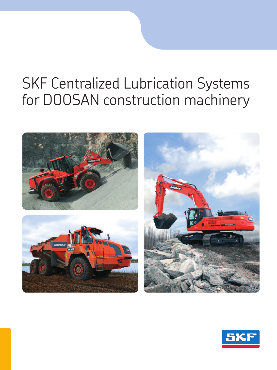# SKF Centralized Lubrication Systems for DOOSAN construction machinery



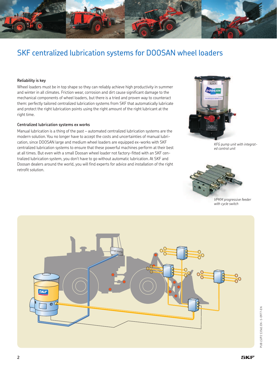

### SKF centralized lubrication systems for DOOSAN wheel loaders

### **Reliability is key**

Wheel loaders must be in top shape so they can reliably achieve high productivity in summer and winter in all climates. Friction wear, corrosion and dirt cause significant damage to the mechanical components of wheel loaders, but there is a tried and proven way to counteract them: perfectly tailored centralized lubrication systems from SKF that automatically lubricate and protect the right lubrication points using the right amount of the right lubricant at the right time.

#### **Centralized lubrication systems ex works**

Manual lubrication is a thing of the past – automated centralized lubrication systems are the modern solution. You no longer have to accept the costs and uncertainties of manual lubrication, since DOOSAN large and medium wheel loaders are equipped ex-works with SKF centralized lubrication systems to ensure that these powerful machines perform at their best at all times. But even with a small Doosan wheel loader not factory-fitted with an SKF centralized lubrication system, you don't have to go without automatic lubrication. At SKF and Doosan dealers around the world, you will find experts for advice and installation of the right retrofit solution.



*KFG pump unit with integrated control unit*



*VPKM progressive feeder with cycle switch*

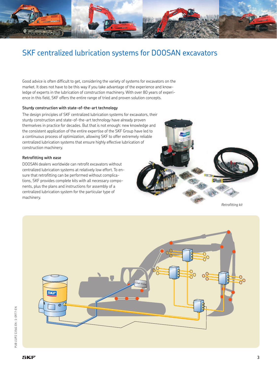

## SKF centralized lubrication systems for DOOSAN excavators

Good advice is often difficult to get, considering the variety of systems for excavators on the market. It does not have to be this way if you take advantage of the experience and knowledge of experts in the lubrication of construction machinery. With over 80 years of experience in this field, SKF offers the entire range of tried and proven solution concepts.

### **Sturdy construction with state-of-the-art technology**

The design principles of SKF centralized lubrication systems for excavators, their sturdy construction and state-of-the-art technology have already proven themselves in practice for decades. But that is not enough: new knowledge and the consistent application of the entire expertise of the SKF Group have led to a continuous process of optimization, allowing SKF to offer extremely reliable centralized lubrication systems that ensure highly effective lubrication of construction machinery.

### **Retrofitting with ease**

DOOSAN dealers worldwide can retrofit excavators without centralized lubrication systems at relatively low effort. To ensure that retrofitting can be performed without complications, SKF provides complete kits with all necessary components, plus the plans and instructions for assembly of a centralized lubrication system for the particular type of machinery.



*Retrofitting kit*